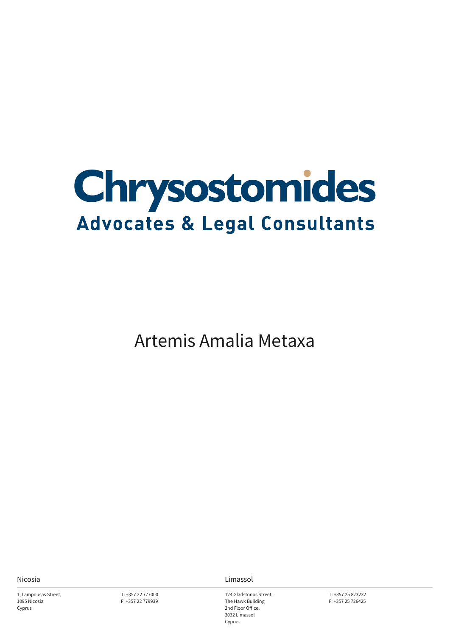

Artemis Amalia Metaxa

1, Lampousas Street, 1095 Nicosia Cyprus

T: +357 22 777000 F: +357 22 779939

Nicosia Limassol

124 Gladstonos Street, The Hawk Building 2nd Floor Office, 3032 Limassol Cyprus

T: +357 25 823232 F: +357 25 726425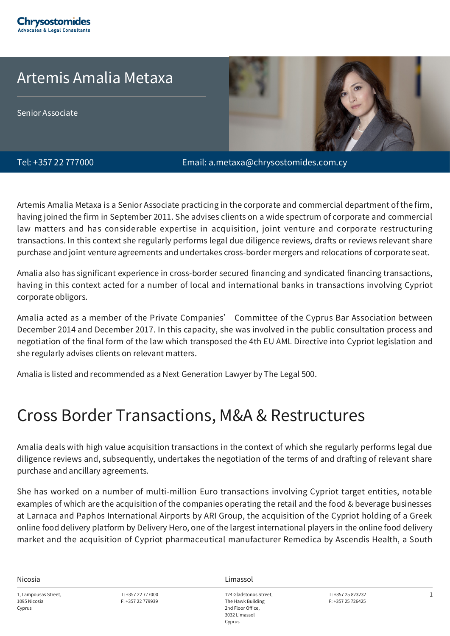

## Artemis Amalia Metaxa

Senior Associate



Tel: +357 22 777000 Email: a.metaxa@chrysostomides.com.cy

Artemis Amalia Metaxa is a Senior Associate practicing in the corporate and commercial department of the firm, having joined the firm in September 2011. She advises clients on a wide spectrum of corporate and commercial law matters and has considerable expertise in acquisition, joint venture and corporate restructuring transactions. In this context she regularly performs legal due diligence reviews, drafts or reviews relevant share purchase and joint venture agreements and undertakes cross-border mergers and relocations of corporate seat.

Amalia also has significant experience in cross-border secured financing and syndicated financing transactions, having in this context acted for a number of local and international banks in transactions involving Cypriot corporate obligors.

Amalia acted as a member of the Private Companies' Committee of the Cyprus Bar Association between December 2014 and December 2017. In this capacity, she was involved in the public consultation process and negotiation of the final form of the law which transposed the 4th EU AML Directive into Cypriot legislation and she regularly advises clients on relevant matters.

Amalia is listed and recommended as a Next Generation Lawyer by The Legal 500.

# Cross Border Transactions, M&A & Restructures

Amalia deals with high value acquisition transactions in the context of which she regularly performs legal due diligence reviews and, subsequently, undertakes the negotiation of the terms of and drafting of relevant share purchase and ancillary agreements.

She has worked on a number of multi-million Euro transactions involving Cypriot target entities, notable examples of which are the acquisition of the companies operating the retail and the food & beverage businesses at Larnaca and Paphos International Airports by ARI Group, the acquisition of the Cypriot holding of a Greek online food delivery platform by Delivery Hero, one of the largest international players in the online food delivery market and the acquisition of Cypriot pharmaceutical manufacturer Remedica by Ascendis Health, a South

1, Lampousas Street, 1095 Nicosia Cyprus

T: +357 22 777000 F: +357 22 779939

Nicosia Limassol

124 Gladstonos Street, The Hawk Building 2nd Floor Office, 3032 Limassol Cyprus

T: +357 25 823232 F: +357 25 726425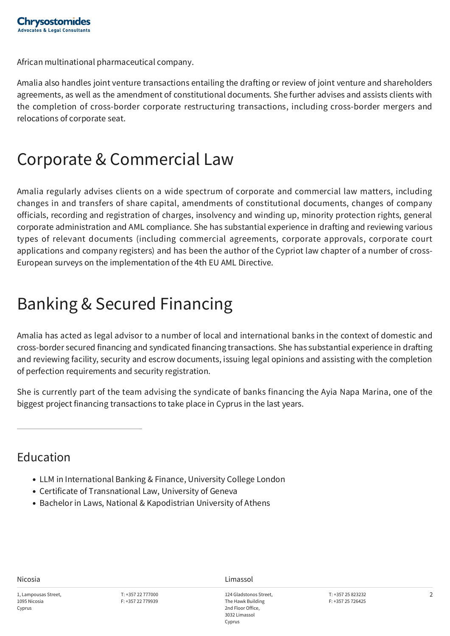African multinational pharmaceutical company.

Amalia also handles joint venture transactions entailing the drafting or review of joint venture and shareholders agreements, as well as the amendment of constitutional documents. She further advises and assists clients with the completion of cross-border corporate restructuring transactions, including cross-border mergers and relocations of corporate seat.

## Corporate & Commercial Law

Amalia regularly advises clients on a wide spectrum of corporate and commercial law matters, including changes in and transfers of share capital, amendments of constitutional documents, changes of company officials, recording and registration of charges, insolvency and winding up, minority protection rights, general corporate administration and AML compliance. She has substantial experience in drafting and reviewing various types of relevant documents (including commercial agreements, corporate approvals, corporate court applications and company registers) and has been the author of the Cypriot law chapter of a number of cross-European surveys on the implementation of the 4th EU AML Directive.

# Banking & Secured Financing

Amalia has acted as legal advisor to a number of local and international banks in the context of domestic and cross-border secured financing and syndicated financing transactions. She has substantial experience in drafting and reviewing facility, security and escrow documents, issuing legal opinions and assisting with the completion of perfection requirements and security registration.

She is currently part of the team advising the syndicate of banks financing the Ayia Napa Marina, one of the biggest project financing transactions to take place in Cyprus in the last years.

#### Education

- LLM in International Banking & Finance, University College London
- Certificate of Transnational Law, University of Geneva
- Bachelor in Laws, National & Kapodistrian University of Athens

Nicosia Limassol